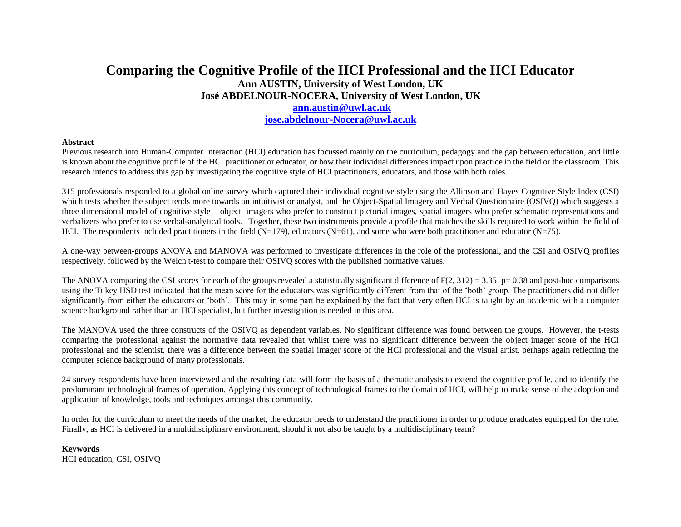# **Comparing the Cognitive Profile of the HCI Professional and the HCI Educator Ann AUSTIN, University of West London, UK José ABDELNOUR-NOCERA, University of West London, UK [ann.austin@uwl.ac.uk](mailto:ann.austin@uwl.ac.uk) [jose.abdelnour-Nocera@uwl.ac.uk](mailto:jose.abdelnour-Nocera@uwl.ac.uk)**

#### **Abstract**

Previous research into Human-Computer Interaction (HCI) education has focussed mainly on the curriculum, pedagogy and the gap between education, and little is known about the cognitive profile of the HCI practitioner or educator, or how their individual differences impact upon practice in the field or the classroom. This research intends to address this gap by investigating the cognitive style of HCI practitioners, educators, and those with both roles.

315 professionals responded to a global online survey which captured their individual cognitive style using the Allinson and Hayes Cognitive Style Index (CSI) which tests whether the subject tends more towards an intuitivist or analyst, and the Object-Spatial Imagery and Verbal Questionnaire (OSIVQ) which suggests a three dimensional model of cognitive style – object imagers who prefer to construct pictorial images, spatial imagers who prefer schematic representations and verbalizers who prefer to use verbal-analytical tools. Together, these two instruments provide a profile that matches the skills required to work within the field of HCI. The respondents included practitioners in the field  $(N=179)$ , educators  $(N=61)$ , and some who were both practitioner and educator  $(N=75)$ .

A one-way between-groups ANOVA and MANOVA was performed to investigate differences in the role of the professional, and the CSI and OSIVQ profiles respectively, followed by the Welch t-test to compare their OSIVQ scores with the published normative values.

The ANOVA comparing the CSI scores for each of the groups revealed a statistically significant difference of  $F(2, 312) = 3.35$ , p= 0.38 and post-hoc comparisons using the Tukey HSD test indicated that the mean score for the educators was significantly different from that of the 'both' group. The practitioners did not differ significantly from either the educators or 'both'. This may in some part be explained by the fact that very often HCI is taught by an academic with a computer science background rather than an HCI specialist, but further investigation is needed in this area.

The MANOVA used the three constructs of the OSIVQ as dependent variables. No significant difference was found between the groups. However, the t-tests comparing the professional against the normative data revealed that whilst there was no significant difference between the object imager score of the HCI professional and the scientist, there was a difference between the spatial imager score of the HCI professional and the visual artist, perhaps again reflecting the computer science background of many professionals.

24 survey respondents have been interviewed and the resulting data will form the basis of a thematic analysis to extend the cognitive profile, and to identify the predominant technological frames of operation. Applying this concept of technological frames to the domain of HCI, will help to make sense of the adoption and application of knowledge, tools and techniques amongst this community.

In order for the curriculum to meet the needs of the market, the educator needs to understand the practitioner in order to produce graduates equipped for the role. Finally, as HCI is delivered in a multidisciplinary environment, should it not also be taught by a multidisciplinary team?

**Keywords** HCI education, CSI, OSIVQ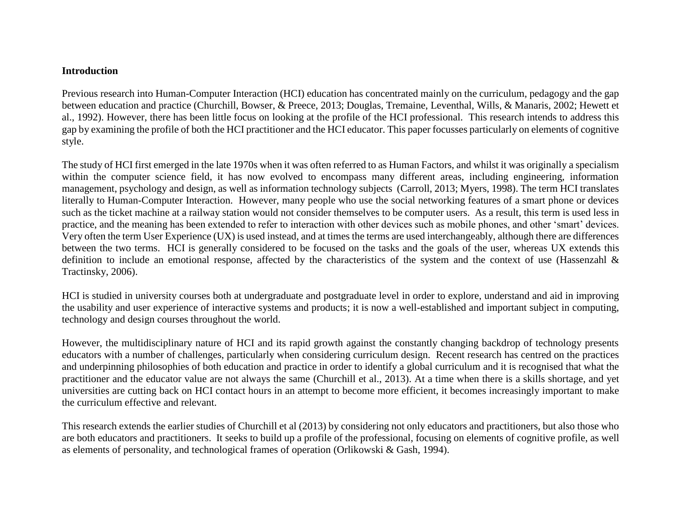#### **Introduction**

Previous research into Human-Computer Interaction (HCI) education has concentrated mainly on the curriculum, pedagogy and the gap between education and practice (Churchill, Bowser, & Preece, 2013; Douglas, Tremaine, Leventhal, Wills, & Manaris, 2002; Hewett et al., 1992). However, there has been little focus on looking at the profile of the HCI professional. This research intends to address this gap by examining the profile of both the HCI practitioner and the HCI educator. This paper focusses particularly on elements of cognitive style.

The study of HCI first emerged in the late 1970s when it was often referred to as Human Factors, and whilst it was originally a specialism within the computer science field, it has now evolved to encompass many different areas, including engineering, information management, psychology and design, as well as information technology subjects (Carroll, 2013; Myers, 1998). The term HCI translates literally to Human-Computer Interaction. However, many people who use the social networking features of a smart phone or devices such as the ticket machine at a railway station would not consider themselves to be computer users. As a result, this term is used less in practice, and the meaning has been extended to refer to interaction with other devices such as mobile phones, and other 'smart' devices. Very often the term User Experience (UX) is used instead, and at times the terms are used interchangeably, although there are differences between the two terms. HCI is generally considered to be focused on the tasks and the goals of the user, whereas UX extends this definition to include an emotional response, affected by the characteristics of the system and the context of use (Hassenzahl & Tractinsky, 2006).

HCI is studied in university courses both at undergraduate and postgraduate level in order to explore, understand and aid in improving the usability and user experience of interactive systems and products; it is now a well-established and important subject in computing, technology and design courses throughout the world.

However, the multidisciplinary nature of HCI and its rapid growth against the constantly changing backdrop of technology presents educators with a number of challenges, particularly when considering curriculum design. Recent research has centred on the practices and underpinning philosophies of both education and practice in order to identify a global curriculum and it is recognised that what the practitioner and the educator value are not always the same (Churchill et al., 2013). At a time when there is a skills shortage, and yet universities are cutting back on HCI contact hours in an attempt to become more efficient, it becomes increasingly important to make the curriculum effective and relevant.

This research extends the earlier studies of Churchill et al (2013) by considering not only educators and practitioners, but also those who are both educators and practitioners. It seeks to build up a profile of the professional, focusing on elements of cognitive profile, as well as elements of personality, and technological frames of operation (Orlikowski & Gash, 1994).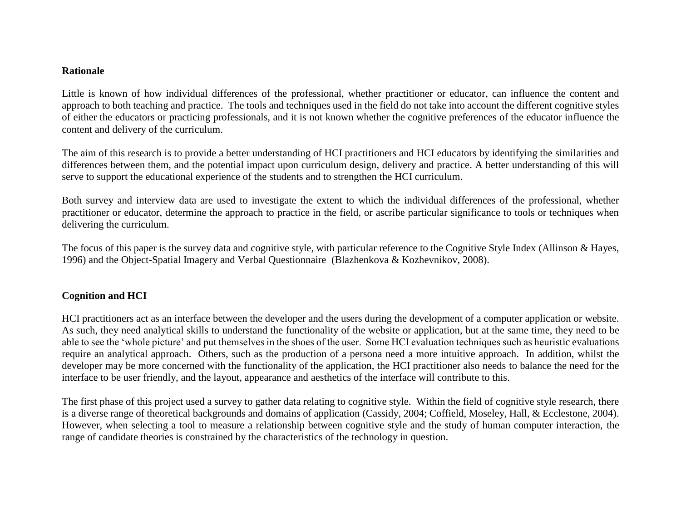#### **Rationale**

Little is known of how individual differences of the professional, whether practitioner or educator, can influence the content and approach to both teaching and practice. The tools and techniques used in the field do not take into account the different cognitive styles of either the educators or practicing professionals, and it is not known whether the cognitive preferences of the educator influence the content and delivery of the curriculum.

The aim of this research is to provide a better understanding of HCI practitioners and HCI educators by identifying the similarities and differences between them, and the potential impact upon curriculum design, delivery and practice. A better understanding of this will serve to support the educational experience of the students and to strengthen the HCI curriculum.

Both survey and interview data are used to investigate the extent to which the individual differences of the professional, whether practitioner or educator, determine the approach to practice in the field, or ascribe particular significance to tools or techniques when delivering the curriculum.

The focus of this paper is the survey data and cognitive style, with particular reference to the Cognitive Style Index (Allinson & Hayes, 1996) and the Object-Spatial Imagery and Verbal Questionnaire (Blazhenkova & Kozhevnikov, 2008).

# **Cognition and HCI**

HCI practitioners act as an interface between the developer and the users during the development of a computer application or website. As such, they need analytical skills to understand the functionality of the website or application, but at the same time, they need to be able to see the 'whole picture' and put themselves in the shoes of the user. Some HCI evaluation techniques such as heuristic evaluations require an analytical approach. Others, such as the production of a persona need a more intuitive approach. In addition, whilst the developer may be more concerned with the functionality of the application, the HCI practitioner also needs to balance the need for the interface to be user friendly, and the layout, appearance and aesthetics of the interface will contribute to this.

The first phase of this project used a survey to gather data relating to cognitive style. Within the field of cognitive style research, there is a diverse range of theoretical backgrounds and domains of application (Cassidy, 2004; Coffield, Moseley, Hall, & Ecclestone, 2004). However, when selecting a tool to measure a relationship between cognitive style and the study of human computer interaction, the range of candidate theories is constrained by the characteristics of the technology in question.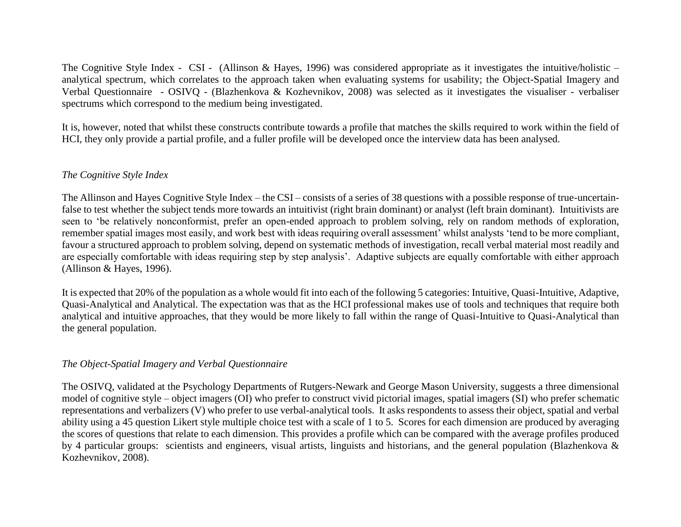The Cognitive Style Index - CSI - (Allinson & Hayes, 1996) was considered appropriate as it investigates the intuitive/holistic – analytical spectrum, which correlates to the approach taken when evaluating systems for usability; the Object-Spatial Imagery and Verbal Questionnaire - OSIVQ - (Blazhenkova & Kozhevnikov, 2008) was selected as it investigates the visualiser - verbaliser spectrums which correspond to the medium being investigated.

It is, however, noted that whilst these constructs contribute towards a profile that matches the skills required to work within the field of HCI, they only provide a partial profile, and a fuller profile will be developed once the interview data has been analysed.

# *The Cognitive Style Index*

The Allinson and Hayes Cognitive Style Index – the CSI – consists of a series of 38 questions with a possible response of true-uncertainfalse to test whether the subject tends more towards an intuitivist (right brain dominant) or analyst (left brain dominant). Intuitivists are seen to 'be relatively nonconformist, prefer an open-ended approach to problem solving, rely on random methods of exploration, remember spatial images most easily, and work best with ideas requiring overall assessment' whilst analysts 'tend to be more compliant, favour a structured approach to problem solving, depend on systematic methods of investigation, recall verbal material most readily and are especially comfortable with ideas requiring step by step analysis'. Adaptive subjects are equally comfortable with either approach (Allinson & Hayes, 1996).

It is expected that 20% of the population as a whole would fit into each of the following 5 categories: Intuitive, Quasi-Intuitive, Adaptive, Quasi-Analytical and Analytical. The expectation was that as the HCI professional makes use of tools and techniques that require both analytical and intuitive approaches, that they would be more likely to fall within the range of Quasi-Intuitive to Quasi-Analytical than the general population.

# *The Object-Spatial Imagery and Verbal Questionnaire*

The OSIVQ, validated at the Psychology Departments of Rutgers-Newark and George Mason University, suggests a three dimensional model of cognitive style – object imagers (OI) who prefer to construct vivid pictorial images, spatial imagers (SI) who prefer schematic representations and verbalizers (V) who prefer to use verbal-analytical tools. It asks respondents to assess their object, spatial and verbal ability using a 45 question Likert style multiple choice test with a scale of 1 to 5. Scores for each dimension are produced by averaging the scores of questions that relate to each dimension. This provides a profile which can be compared with the average profiles produced by 4 particular groups: scientists and engineers, visual artists, linguists and historians, and the general population (Blazhenkova & Kozhevnikov, 2008).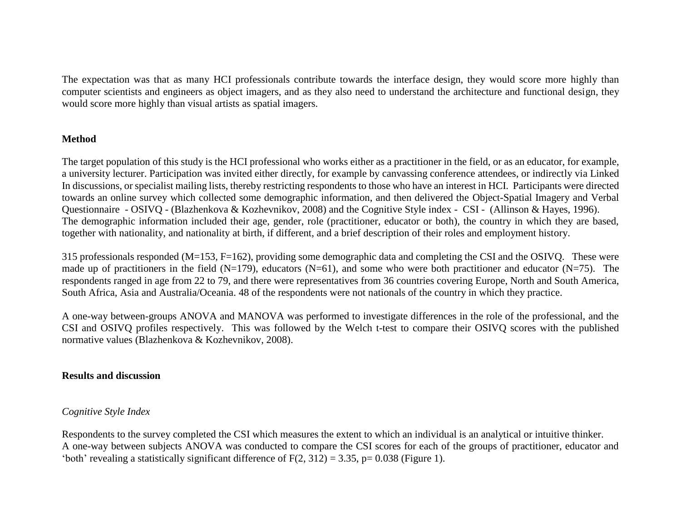The expectation was that as many HCI professionals contribute towards the interface design, they would score more highly than computer scientists and engineers as object imagers, and as they also need to understand the architecture and functional design, they would score more highly than visual artists as spatial imagers.

## **Method**

The target population of this study is the HCI professional who works either as a practitioner in the field, or as an educator, for example, a university lecturer. Participation was invited either directly, for example by canvassing conference attendees, or indirectly via Linked In discussions, or specialist mailing lists, thereby restricting respondents to those who have an interest in HCI. Participants were directed towards an online survey which collected some demographic information, and then delivered the Object-Spatial Imagery and Verbal Questionnaire - OSIVQ - (Blazhenkova & Kozhevnikov, 2008) and the Cognitive Style index - CSI - (Allinson & Hayes, 1996). The demographic information included their age, gender, role (practitioner, educator or both), the country in which they are based, together with nationality, and nationality at birth, if different, and a brief description of their roles and employment history.

315 professionals responded (M=153, F=162), providing some demographic data and completing the CSI and the OSIVQ. These were made up of practitioners in the field (N=179), educators (N=61), and some who were both practitioner and educator (N=75). The respondents ranged in age from 22 to 79, and there were representatives from 36 countries covering Europe, North and South America, South Africa, Asia and Australia/Oceania. 48 of the respondents were not nationals of the country in which they practice.

A one-way between-groups ANOVA and MANOVA was performed to investigate differences in the role of the professional, and the CSI and OSIVQ profiles respectively. This was followed by the Welch t-test to compare their OSIVQ scores with the published normative values (Blazhenkova & Kozhevnikov, 2008).

## **Results and discussion**

## *Cognitive Style Index*

Respondents to the survey completed the CSI which measures the extent to which an individual is an analytical or intuitive thinker. A one-way between subjects ANOVA was conducted to compare the CSI scores for each of the groups of practitioner, educator and 'both' revealing a statistically significant difference of  $F(2, 312) = 3.35$ , p= 0.038 (Figure 1).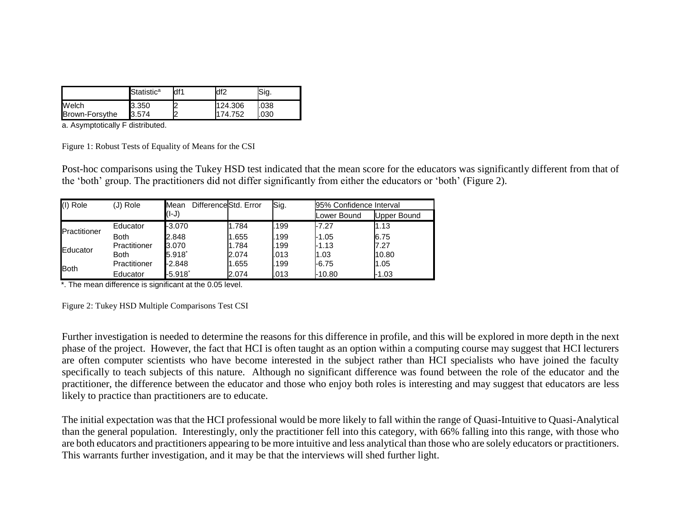|                | Statistic <sup>a</sup> | df1 | df2     | Sig. |
|----------------|------------------------|-----|---------|------|
| Welch          | 3.350                  |     | 124.306 | .038 |
| Brown-Forsythe | 3.574                  |     | 74.752  | .030 |

a. Asymptotically F distributed.

Figure 1: Robust Tests of Equality of Means for the CSI

Post-hoc comparisons using the Tukey HSD test indicated that the mean score for the educators was significantly different from that of the 'both' group. The practitioners did not differ significantly from either the educators or 'both' (Figure 2).

| (I) Role     | (J) Role     | Mean              | DifferenceStd. Error<br>Sig. |      | 95% Confidence Interval |             |
|--------------|--------------|-------------------|------------------------------|------|-------------------------|-------------|
|              |              | (l-J)             |                              |      | Lower Bound             | Upper Bound |
|              | Educator     | -3.070            | 1.784                        | .199 | $-7.27$                 | 1.13        |
| Practitioner | <b>Both</b>  | 2.848             | 1.655                        | .199 | $-1.05$                 | 6.75        |
| Educator     | Practitioner | 3.070             | 1.784                        | .199 | -1.13                   | 7.27        |
|              | <b>Both</b>  | $5.918^*$         | 2.074                        | .013 | 1.03                    | 10.80       |
| <b>Both</b>  | Practitioner | -2.848            | 1.655                        | .199 | $-6.75$                 | 1.05        |
|              | Educator     | -5.918 $^{\circ}$ | 2.074                        | .013 | $-10.80$                | $-1.03$     |

 $\overline{\cdot}$ . The mean difference is significant at the 0.05 level.

Figure 2: Tukey HSD Multiple Comparisons Test CSI

Further investigation is needed to determine the reasons for this difference in profile, and this will be explored in more depth in the next phase of the project. However, the fact that HCI is often taught as an option within a computing course may suggest that HCI lecturers are often computer scientists who have become interested in the subject rather than HCI specialists who have joined the faculty specifically to teach subjects of this nature. Although no significant difference was found between the role of the educator and the practitioner, the difference between the educator and those who enjoy both roles is interesting and may suggest that educators are less likely to practice than practitioners are to educate.

The initial expectation was that the HCI professional would be more likely to fall within the range of Quasi-Intuitive to Quasi-Analytical than the general population. Interestingly, only the practitioner fell into this category, with 66% falling into this range, with those who are both educators and practitioners appearing to be more intuitive and less analytical than those who are solely educators or practitioners. This warrants further investigation, and it may be that the interviews will shed further light.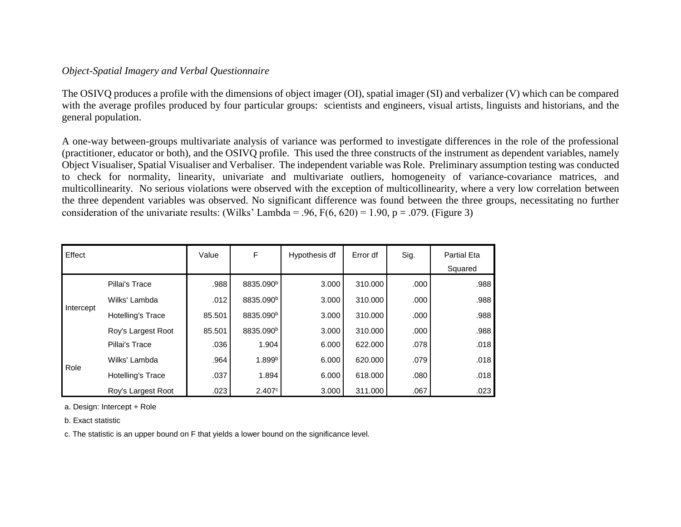# *Object-Spatial Imagery and Verbal Questionnaire*

The OSIVQ produces a profile with the dimensions of object imager (OI), spatial imager (SI) and verbalizer (V) which can be compared with the average profiles produced by four particular groups: scientists and engineers, visual artists, linguists and historians, and the general population.

A one-way between-groups multivariate analysis of variance was performed to investigate differences in the role of the professional (practitioner, educator or both), and the OSIVQ profile. This used the three constructs of the instrument as dependent variables, namely Object Visualiser, Spatial Visualiser and Verbaliser. The independent variable was Role. Preliminary assumption testing was conducted to check for normality, linearity, univariate and multivariate outliers, homogeneity of variance-covariance matrices, and multicollinearity. No serious violations were observed with the exception of multicollinearity, where a very low correlation between the three dependent variables was observed. No significant difference was found between the three groups, necessitating no further consideration of the univariate results: (Wilks' Lambda = .96,  $F(6, 620) = 1.90$ , p = .079. (Figure 3)

| Effect    |                          | Value  | F                     | Hypothesis df | Error df | Sig. | <b>Partial Eta</b><br>Squared |
|-----------|--------------------------|--------|-----------------------|---------------|----------|------|-------------------------------|
|           | Pillai's Trace           | .988   | 8835.090 <sup>b</sup> | 3.000         | 310.000  | .000 | .988                          |
| Intercept | Wilks' Lambda            | .012   | 8835.090 <sup>b</sup> | 3.000         | 310.000  | .000 | .988                          |
|           | <b>Hotelling's Trace</b> | 85.501 | 8835.090 <sup>b</sup> | 3.000         | 310.000  | .000 | .988                          |
|           | Roy's Largest Root       | 85.501 | 8835.090 <sup>b</sup> | 3.000         | 310.000  | .000 | .988                          |
|           | Pillai's Trace           | .036   | 1.904                 | 6.000         | 622,000  | .078 | .018                          |
| Role      | Wilks' Lambda            | .964   | 1.899 <sup>b</sup>    | 6.000         | 620,000  | .079 | .018                          |
|           | <b>Hotelling's Trace</b> | .037   | 1.894                 | 6.000         | 618,000  | .080 | .018                          |
|           | Roy's Largest Root       | .023   | 2.407c                | 3.000         | 311.000  | .067 | .023                          |

a. Design: Intercept + Role

b. Exact statistic

c. The statistic is an upper bound on F that yields a lower bound on the significance level.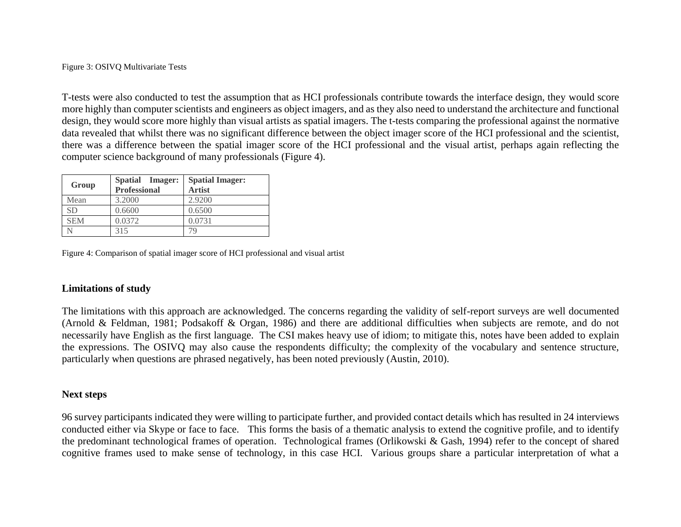Figure 3: OSIVQ Multivariate Tests

T-tests were also conducted to test the assumption that as HCI professionals contribute towards the interface design, they would score more highly than computer scientists and engineers as object imagers, and as they also need to understand the architecture and functional design, they would score more highly than visual artists as spatial imagers. The t-tests comparing the professional against the normative data revealed that whilst there was no significant difference between the object imager score of the HCI professional and the scientist, there was a difference between the spatial imager score of the HCI professional and the visual artist, perhaps again reflecting the computer science background of many professionals (Figure 4).

| Group      | Spatial Imager:<br><b>Professional</b> | <b>Spatial Imager:</b><br><b>Artist</b> |
|------------|----------------------------------------|-----------------------------------------|
| Mean       | 3.2000                                 | 2.9200                                  |
| SD         | 0.6600                                 | 0.6500                                  |
| <b>SEM</b> | 0.0372                                 | 0.0731                                  |
|            | 315                                    | 79                                      |

Figure 4: Comparison of spatial imager score of HCI professional and visual artist

## **Limitations of study**

The limitations with this approach are acknowledged. The concerns regarding the validity of self-report surveys are well documented (Arnold & Feldman, 1981; Podsakoff & Organ, 1986) and there are additional difficulties when subjects are remote, and do not necessarily have English as the first language. The CSI makes heavy use of idiom; to mitigate this, notes have been added to explain the expressions. The OSIVQ may also cause the respondents difficulty; the complexity of the vocabulary and sentence structure, particularly when questions are phrased negatively, has been noted previously (Austin, 2010).

## **Next steps**

96 survey participants indicated they were willing to participate further, and provided contact details which has resulted in 24 interviews conducted either via Skype or face to face. This forms the basis of a thematic analysis to extend the cognitive profile, and to identify the predominant technological frames of operation. Technological frames (Orlikowski & Gash, 1994) refer to the concept of shared cognitive frames used to make sense of technology, in this case HCI. Various groups share a particular interpretation of what a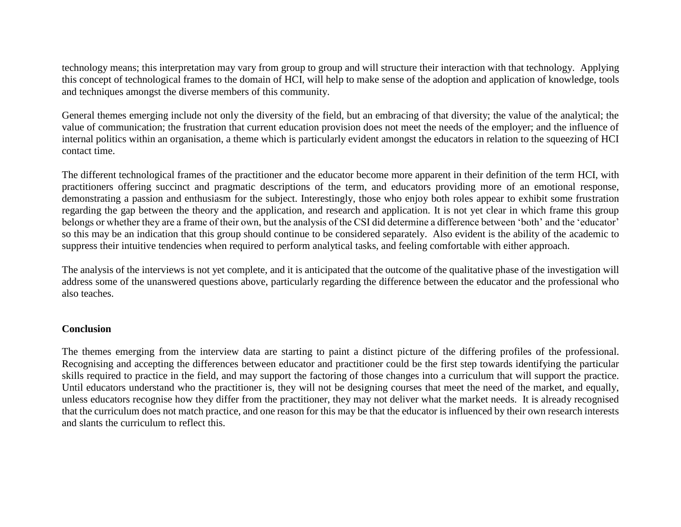technology means; this interpretation may vary from group to group and will structure their interaction with that technology. Applying this concept of technological frames to the domain of HCI, will help to make sense of the adoption and application of knowledge, tools and techniques amongst the diverse members of this community.

General themes emerging include not only the diversity of the field, but an embracing of that diversity; the value of the analytical; the value of communication; the frustration that current education provision does not meet the needs of the employer; and the influence of internal politics within an organisation, a theme which is particularly evident amongst the educators in relation to the squeezing of HCI contact time.

The different technological frames of the practitioner and the educator become more apparent in their definition of the term HCI, with practitioners offering succinct and pragmatic descriptions of the term, and educators providing more of an emotional response, demonstrating a passion and enthusiasm for the subject. Interestingly, those who enjoy both roles appear to exhibit some frustration regarding the gap between the theory and the application, and research and application. It is not yet clear in which frame this group belongs or whether they are a frame of their own, but the analysis of the CSI did determine a difference between 'both' and the 'educator' so this may be an indication that this group should continue to be considered separately. Also evident is the ability of the academic to suppress their intuitive tendencies when required to perform analytical tasks, and feeling comfortable with either approach.

The analysis of the interviews is not yet complete, and it is anticipated that the outcome of the qualitative phase of the investigation will address some of the unanswered questions above, particularly regarding the difference between the educator and the professional who also teaches.

## **Conclusion**

The themes emerging from the interview data are starting to paint a distinct picture of the differing profiles of the professional. Recognising and accepting the differences between educator and practitioner could be the first step towards identifying the particular skills required to practice in the field, and may support the factoring of those changes into a curriculum that will support the practice. Until educators understand who the practitioner is, they will not be designing courses that meet the need of the market, and equally, unless educators recognise how they differ from the practitioner, they may not deliver what the market needs. It is already recognised that the curriculum does not match practice, and one reason for this may be that the educator is influenced by their own research interests and slants the curriculum to reflect this.